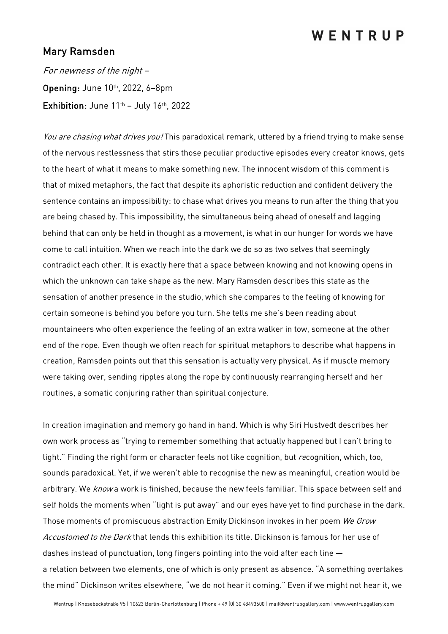## WENTRUP

## Mary Ramsden

For newness of the night – Opening: June 10th, 2022, 6–8pm Exhibition: June  $11^{th}$  – July  $16^{th}$ , 2022

You are chasing what drives you! This paradoxical remark, uttered by a friend trying to make sense of the nervous restlessness that stirs those peculiar productive episodes every creator knows, gets to the heart of what it means to make something new. The innocent wisdom of this comment is that of mixed metaphors, the fact that despite its aphoristic reduction and confident delivery the sentence contains an impossibility: to chase what drives you means to run after the thing that you are being chased by. This impossibility, the simultaneous being ahead of oneself and lagging behind that can only be held in thought as a movement, is what in our hunger for words we have come to call intuition. When we reach into the dark we do so as two selves that seemingly contradict each other. It is exactly here that a space between knowing and not knowing opens in which the unknown can take shape as the new. Mary Ramsden describes this state as the sensation of another presence in the studio, which she compares to the feeling of knowing for certain someone is behind you before you turn. She tells me she's been reading about mountaineers who often experience the feeling of an extra walker in tow, someone at the other end of the rope. Even though we often reach for spiritual metaphors to describe what happens in creation, Ramsden points out that this sensation is actually very physical. As if muscle memory were taking over, sending ripples along the rope by continuously rearranging herself and her routines, a somatic conjuring rather than spiritual conjecture.

In creation imagination and memory go hand in hand. Which is why Siri Hustvedt describes her own work process as "trying to remember something that actually happened but I can't bring to light." Finding the right form or character feels not like cognition, but recognition, which, too, sounds paradoxical. Yet, if we weren't able to recognise the new as meaningful, creation would be arbitrary. We *know* a work is finished, because the new feels familiar. This space between self and self holds the moments when "light is put away" and our eyes have yet to find purchase in the dark. Those moments of promiscuous abstraction Emily Dickinson invokes in her poem We Grow Accustomed to the Dark that lends this exhibition its title. Dickinson is famous for her use of dashes instead of punctuation, long fingers pointing into the void after each line a relation between two elements, one of which is only present as absence. "A something overtakes the mind" Dickinson writes elsewhere, "we do not hear it coming." Even if we might not hear it, we